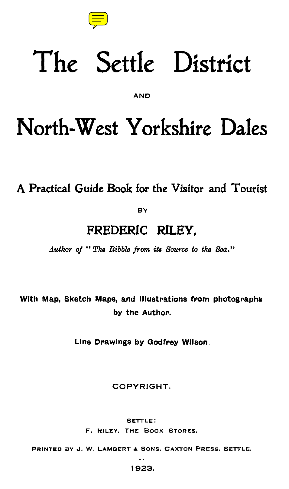

## **The Settle District**

AND

## **North-West Yorkshire Dales**

**A Practical Guide Book for the Visitor and Tourist** 

**BY** 

## **FREDERIC RILEY,**

**Author of " The Ribble front its Source to** the **Sea."** 

**With Map, Sketch Maps, and Illustrations from photographs by the Author.** 

**Line Drawings by Godfrey Wilson.** 

**COPYRIGHT.** 

**SETTLE:** 

F. RILEY. **THE BOOK** StoREs.

**PRINTED BY** J. **W. LAMBERT & SONS. CAXTON PRESS. SETTLE.** 

**— 1923.**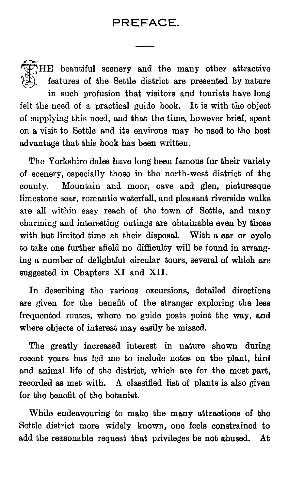**AL** HE beautiful scenery and the many other attractive features of the Settle district are presented by nature in such profusion that visitors and tourists have long felt the need of a practical guide book. It is with the object of supplying this need, and that the time, however brief, spent on a visit to Settle and its environs may be used to the best advantage that this book has been written.

The Yorkshire dales have long been famous for their variety of scenery, especially those in the north-west district of the county. Mountain and moor, cave and glen, picturesque limestone scar, romantic waterfall, and pleasant riverside walks are all within easy reach of the town of Settle, and many charming and interesting outings are obtainable even by those with but limited time at their disposal. With a car or cycle to take one further afield no difficulty will be found in arranging a number of delightful circular tours, several of which are suggested in Chapters XI and XII.

In describing the various excursions, detailed directions are given for the benefit of the stranger exploring the less frequented routes, where no guide posts point the way, and where objects of interest may easily be missed.

The greatly increased interest in nature shown during recent years has led me to include notes on the plant, bird and animal life of the district, which are for the most part, recorded as met with. A classified list of plants is also given for the benefit of the botanist.

While endeavouring to make the many attractions of the Settle district more widely known, one feels constrained to add the reasonable request that privileges be not abused. At